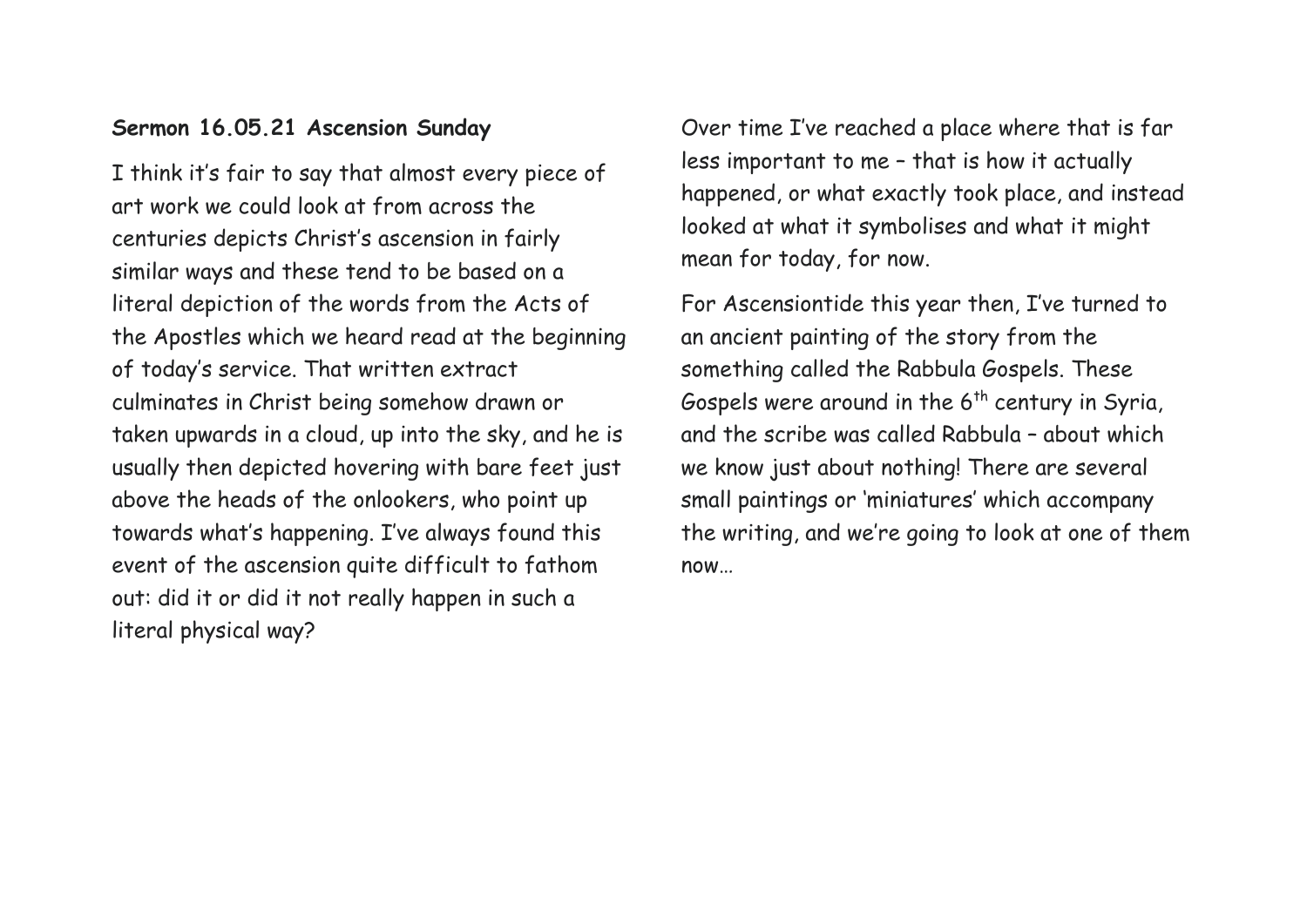## **Sermon 16.05.21 Ascension Sunday**

I think it's fair to say that almost every piece of art work we could look at from across the centuries depicts Christ's ascension in fairly similar ways and these tend to be based on a literal depiction of the words from the Acts of the Apostles which we heard read at the beginning of today's service. That written extract culminates in Christ being somehow drawn or taken upwards in a cloud, up into the sky, and he is usually then depicted hovering with bare feet just above the heads of the onlookers, who point up towards what's happening. I've always found this event of the ascension quite difficult to fathom out: did it or did it not really happen in such a literal physical way?

Over time I've reached a place where that is far less important to me – that is how it actually happened, or what exactly took place, and instead looked at what it symbolises and what it might mean for today, for now.

For Ascensiontide this year then, I've turned to an ancient painting of the story from the something called the Rabbula Gospels. These Gospels were around in the  $6<sup>th</sup>$  century in Syria, and the scribe was called Rabbula – about which we know just about nothing! There are several small paintings or 'miniatures' which accompany the writing, and we're going to look at one of them now…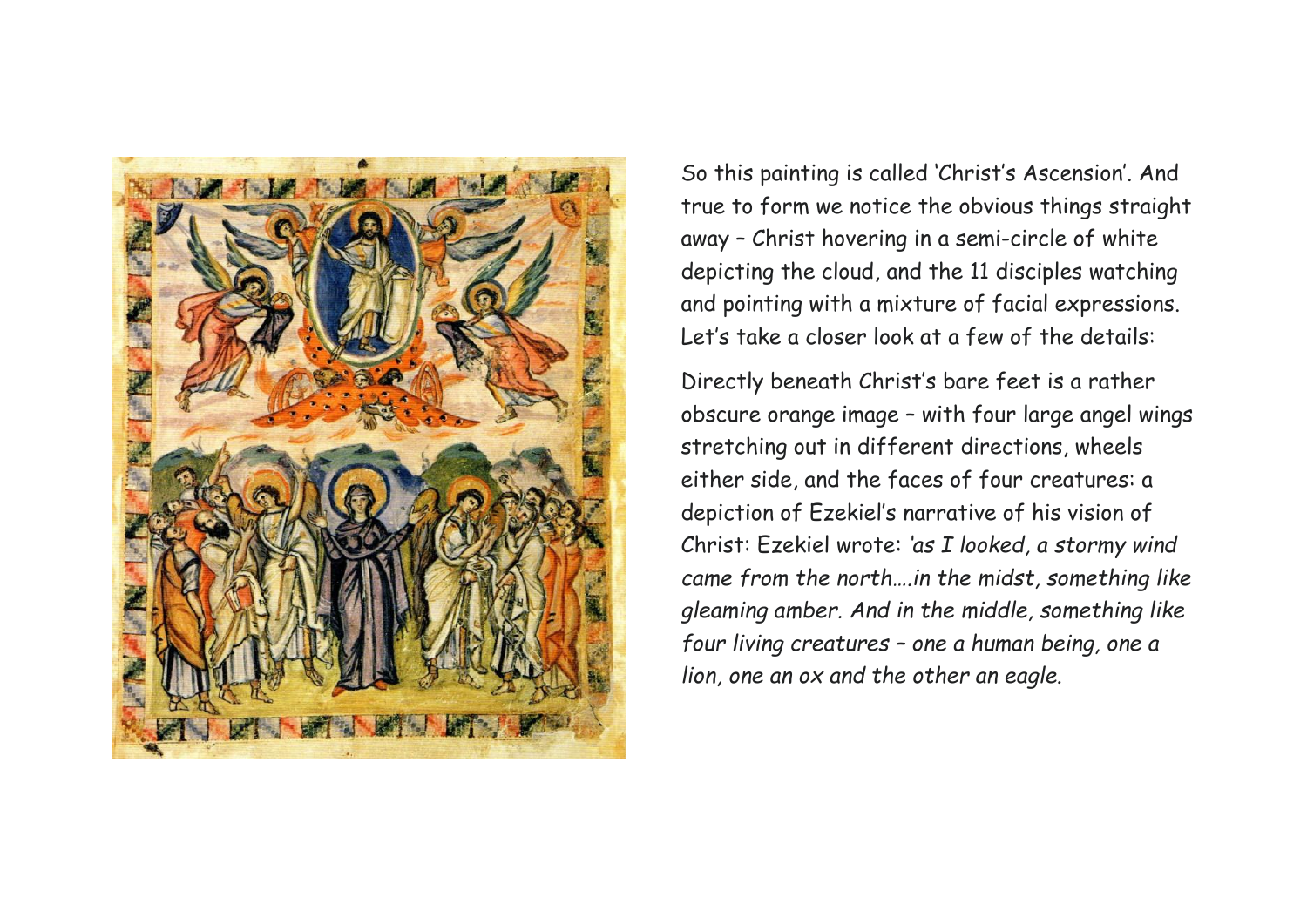

So this painting is called 'Christ's Ascension'. And true to form we notice the obvious things straight away – Christ hovering in a semi-circle of white depicting the cloud, and the 11 disciples watching and pointing with a mixture of facial expressions. Let's take a closer look at a few of the details:

Directly beneath Christ's bare feet is a rather obscure orange image – with four large angel wings stretching out in different directions, wheels either side, and the faces of four creatures: a depiction of Ezekiel's narrative of his vision of Christ: Ezekiel wrote: *'as I looked, a stormy wind came from the north….in the midst, something like gleaming amber. And in the middle, something like four living creatures – one a human being, one a lion, one an ox and the other an eagle.*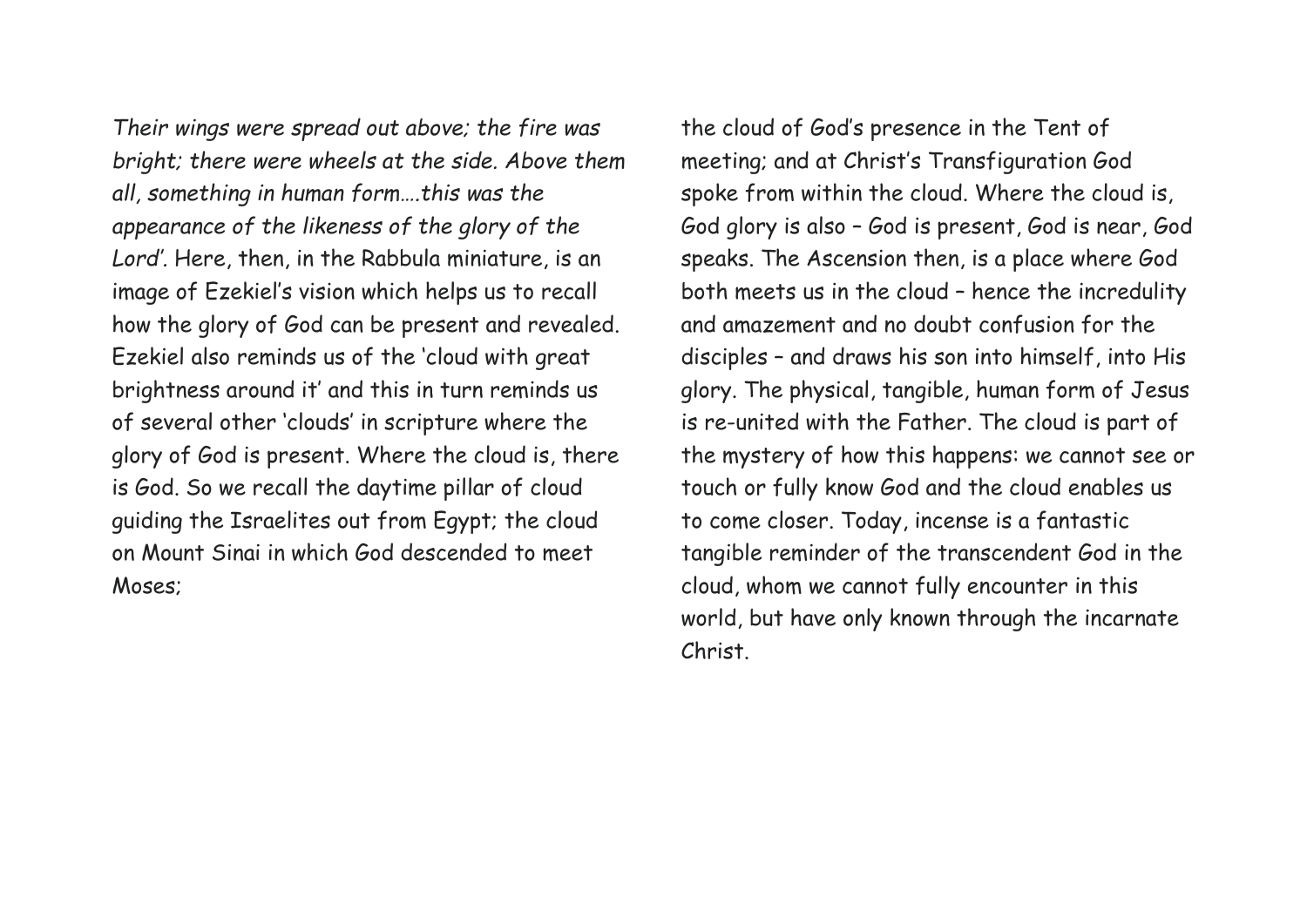*Their wings were spread out above; the fire was bright; there were wheels at the side. Above them all, something in human form….this was the appearance of the likeness of the glory of the Lord'.* Here, then, in the Rabbula miniature, is an image of Ezekiel's vision which helps us to recall how the glory of God can be present and revealed. Ezekiel also reminds us of the 'cloud with great brightness around it' and this in turn reminds us of several other 'clouds' in scripture where the glory of God is present. Where the cloud is, there is God. So we recall the daytime pillar of cloud guiding the Israelites out from Egypt; the cloud on Mount Sinai in which God descended to meet Moses;

the cloud of God's presence in the Tent of meeting; and at Christ's Transfiguration God spoke from within the cloud. Where the cloud is, God glory is also – God is present, God is near, God speaks. The Ascension then, is a place where God both meets us in the cloud – hence the incredulity and amazement and no doubt confusion for the disciples – and draws his son into himself, into His glory. The physical, tangible, human form of Jesus is re-united with the Father. The cloud is part of the mystery of how this happens: we cannot see or touch or fully know God and the cloud enables us to come closer. Today, incense is a fantastic tangible reminder of the transcendent God in the cloud, whom we cannot fully encounter in this world, but have only known through the incarnate Christ.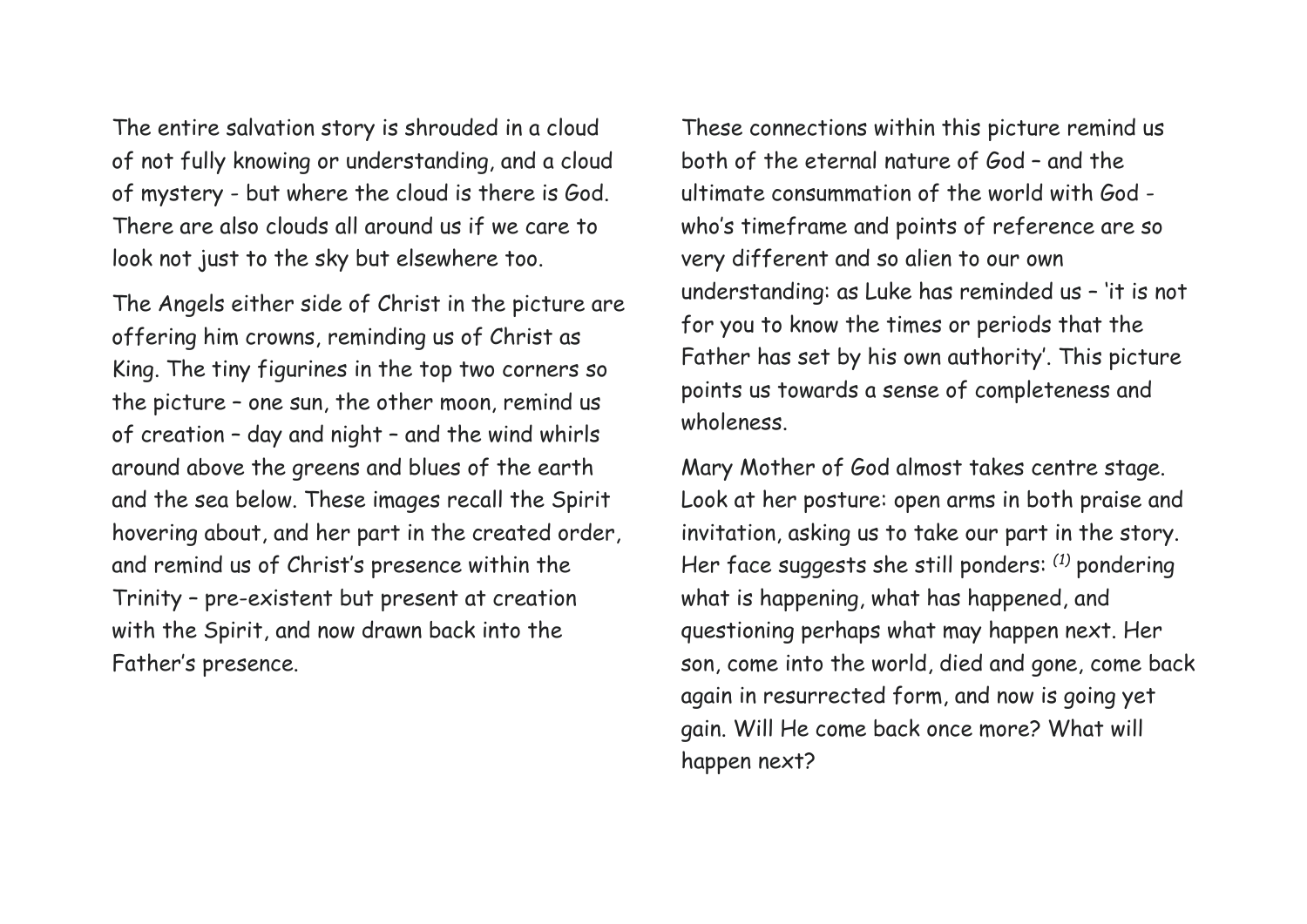The entire salvation story is shrouded in a cloud of not fully knowing or understanding, and a cloud of mystery - but where the cloud is there is God. There are also clouds all around us if we care to look not just to the sky but elsewhere too.

The Angels either side of Christ in the picture are offering him crowns, reminding us of Christ as King. The tiny figurines in the top two corners so the picture – one sun, the other moon, remind us of creation – day and night – and the wind whirls around above the greens and blues of the earth and the sea below. These images recall the Spirit hovering about, and her part in the created order, and remind us of Christ's presence within the Trinity – pre-existent but present at creation with the Spirit, and now drawn back into the Father's presence.

These connections within this picture remind us both of the eternal nature of God – and the ultimate consummation of the world with God who's timeframe and points of reference are so very different and so alien to our own understanding: as Luke has reminded us – 'it is not for you to know the times or periods that the Father has set by his own authority'. This picture points us towards a sense of completeness and wholeness.

Mary Mother of God almost takes centre stage. Look at her posture: open arms in both praise and invitation, asking us to take our part in the story. Her face suggests she still ponders: *(1)* pondering what is happening, what has happened, and questioning perhaps what may happen next. Her son, come into the world, died and gone, come back again in resurrected form, and now is going yet gain. Will He come back once more? What will happen next?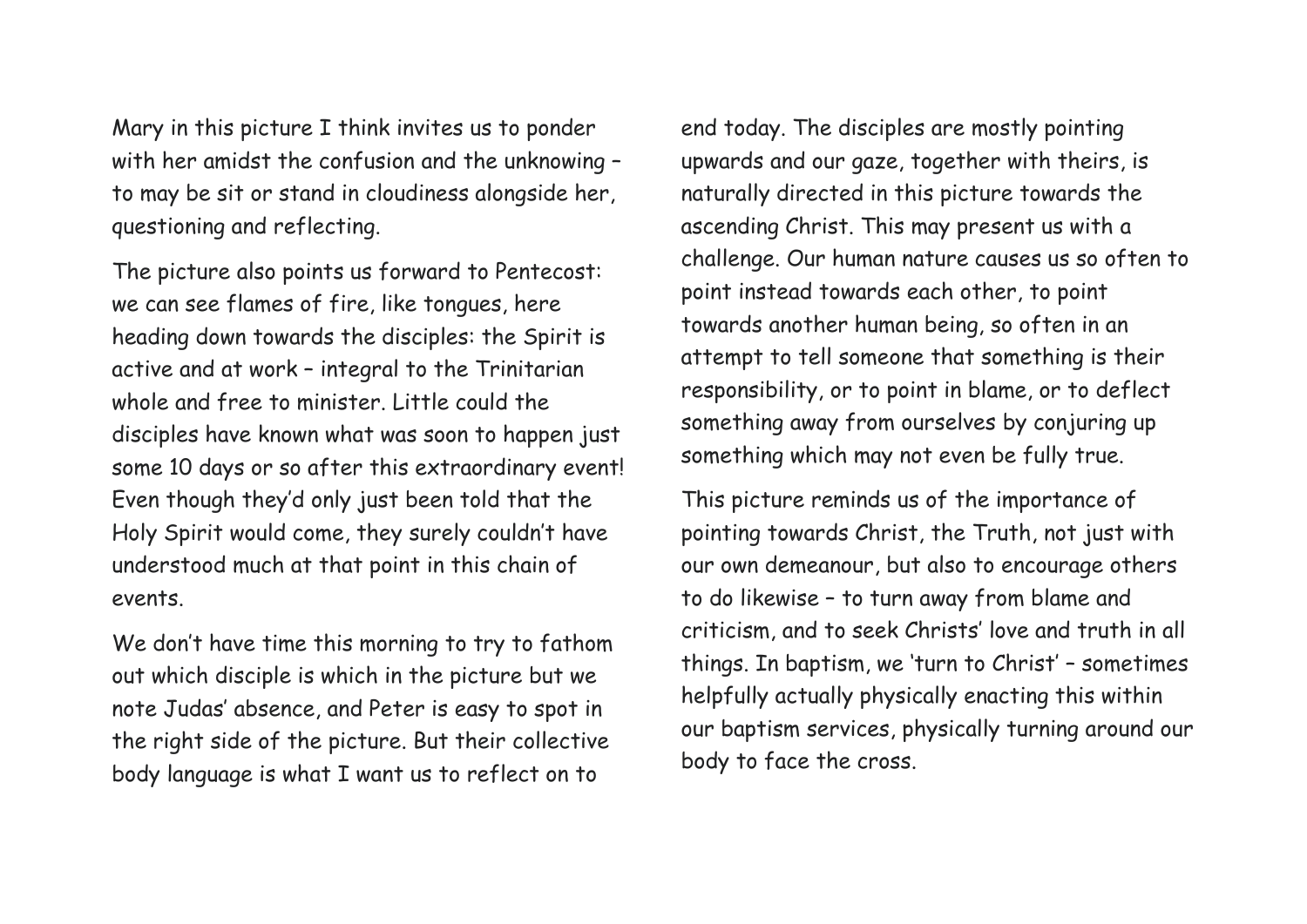Mary in this picture I think invites us to ponder with her amidst the confusion and the unknowing – to may be sit or stand in cloudiness alongside her, questioning and reflecting.

The picture also points us forward to Pentecost: we can see flames of fire, like tongues, here heading down towards the disciples: the Spirit is active and at work – integral to the Trinitarian whole and free to minister. Little could the disciples have known what was soon to happen just some 10 days or so after this extraordinary event! Even though they'd only just been told that the Holy Spirit would come, they surely couldn't have understood much at that point in this chain of events.

We don't have time this morning to try to fathom out which disciple is which in the picture but we note Judas' absence, and Peter is easy to spot in the right side of the picture. But their collective body language is what I want us to reflect on to

end today. The disciples are mostly pointing upwards and our gaze, together with theirs, is naturally directed in this picture towards the ascending Christ. This may present us with a challenge. Our human nature causes us so often to point instead towards each other, to point towards another human being, so often in an attempt to tell someone that something is their responsibility, or to point in blame, or to deflect something away from ourselves by conjuring up something which may not even be fully true.

This picture reminds us of the importance of pointing towards Christ, the Truth, not just with our own demeanour, but also to encourage others to do likewise – to turn away from blame and criticism, and to seek Christs' love and truth in all things. In baptism, we 'turn to Christ' – sometimes helpfully actually physically enacting this within our baptism services, physically turning around our body to face the cross.